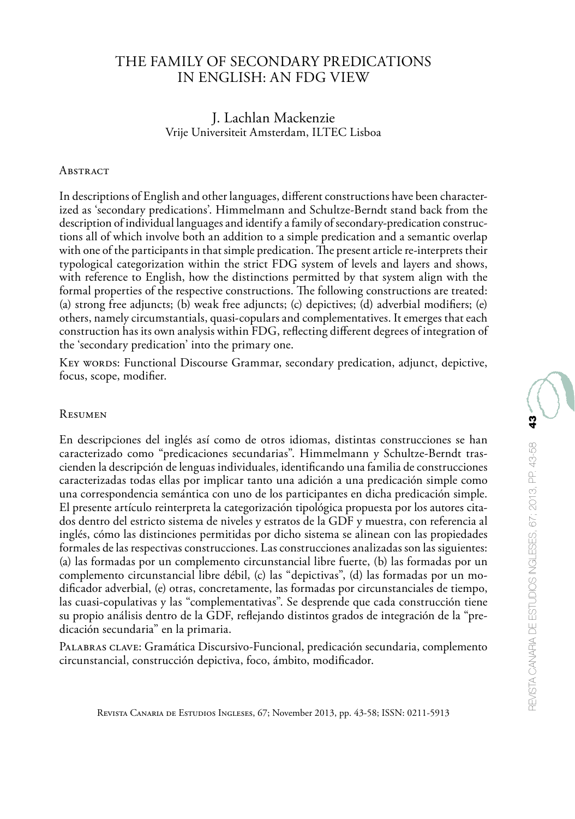# THE FAMILY OF SECONDARY PREDICATIONS IN ENGLISH: AN FDG VIEW

### J. Lachlan Mackenzie Vrije Universiteit Amsterdam, ILTEC Lisboa

#### **ABSTRACT**

In descriptions of English and other languages, different constructions have been characterized as 'secondary predications'. Himmelmann and Schultze-Berndt stand back from the description of individual languages and identify a family of secondary-predication constructions all of which involve both an addition to a simple predication and a semantic overlap with one of the participants in that simple predication. The present article re-interprets their typological categorization within the strict FDG system of levels and layers and shows, with reference to English, how the distinctions permitted by that system align with the formal properties of the respective constructions. The following constructions are treated: (a) strong free adjuncts; (b) weak free adjuncts; (c) depictives; (d) adverbial modifiers; (e) others, namely circumstantials, quasi-copulars and complementatives. It emerges that each construction has its own analysis within FDG, reflecting different degrees of integration of the 'secondary predication' into the primary one.

Key words: Functional Discourse Grammar, secondary predication, adjunct, depictive, focus, scope, modifier.

#### **RESUMEN**

En descripciones del inglés así como de otros idiomas, distintas construcciones se han caracterizado como "predicaciones secundarias". Himmelmann y Schultze-Berndt trascienden la descripción de lenguas individuales, identificando una familia de construcciones caracterizadas todas ellas por implicar tanto una adición a una predicación simple como una correspondencia semántica con uno de los participantes en dicha predicación simple. El presente artículo reinterpreta la categorización tipológica propuesta por los autores citados dentro del estricto sistema de niveles y estratos de la GDF y muestra, con referencia al inglés, cómo las distinciones permitidas por dicho sistema se alinean con las propiedades formales de las respectivas construcciones. Las construcciones analizadas son las siguientes: (a) las formadas por un complemento circunstancial libre fuerte, (b) las formadas por un complemento circunstancial libre débil, (c) las "depictivas", (d) las formadas por un modificador adverbial, (e) otras, concretamente, las formadas por circunstanciales de tiempo, las cuasi-copulativas y las "complementativas". Se desprende que cada construcción tiene su propio análisis dentro de la GDF, reflejando distintos grados de integración de la "predicación secundaria" en la primaria.

Palabras clave: Gramática Discursivo-Funcional, predicación secundaria, complemento circunstancial, construcción depictiva, foco, ámbito, modificador.

Revista Canaria de Estudios Ingleses, 67; November 2013, pp. 43-58; ISSN: 0211-5913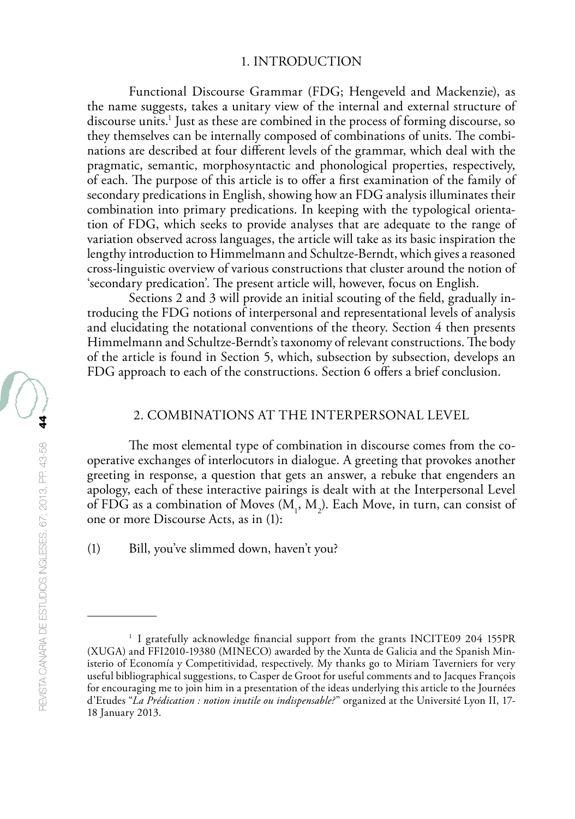#### 1. INTRODUCTION

Functional Discourse Grammar (FDG; Hengeveld and Mackenzie), as the name suggests, takes a unitary view of the internal and external structure of discourse units.1 Just as these are combined in the process of forming discourse, so they themselves can be internally composed of combinations of units. The combinations are described at four different levels of the grammar, which deal with the pragmatic, semantic, morphosyntactic and phonological properties, respectively, of each. The purpose of this article is to offer a first examination of the family of secondary predications in English, showing how an FDG analysis illuminates their combination into primary predications. In keeping with the typological orientation of FDG, which seeks to provide analyses that are adequate to the range of variation observed across languages, the article will take as its basic inspiration the lengthy introduction to Himmelmann and Schultze-Berndt, which gives a reasoned cross-linguistic overview of various constructions that cluster around the notion of 'secondary predication'. The present article will, however, focus on English.

Sections 2 and 3 will provide an initial scouting of the field, gradually introducing the FDG notions of interpersonal and representational levels of analysis and elucidating the notational conventions of the theory. Section 4 then presents Himmelmann and Schultze-Berndt's taxonomy of relevant constructions. The body of the article is found in Section 5, which, subsection by subsection, develops an FDG approach to each of the constructions. Section 6 offers a brief conclusion.

### 2. COMBINATIONS AT THE INTERPERSONAL LEVEL

The most elemental type of combination in discourse comes from the cooperative exchanges of interlocutors in dialogue. A greeting that provokes another greeting in response, a question that gets an answer, a rebuke that engenders an apology, each of these interactive pairings is dealt with at the Interpersonal Level of FDG as a combination of Moves  $(M_1, M_2)$ . Each Move, in turn, can consist of one or more Discourse Acts, as in (1):

(1) Bill, you've slimmed down, haven't you?

<sup>&</sup>lt;sup>1</sup> I gratefully acknowledge financial support from the grants INCITE09 204 155PR (XUGA) and FFI2010-19380 (MINECO) awarded by the Xunta de Galicia and the Spanish Ministerio of Economía y Competitividad, respectively. My thanks go to Miriam Taverniers for very useful bibliographical suggestions, to Casper de Groot for useful comments and to Jacques François for encouraging me to join him in a presentation of the ideas underlying this article to the Journées d'Etudes "*La Prédication : notion inutile ou indispensable?*" organized at the Université Lyon II, 17- 18 January 2013.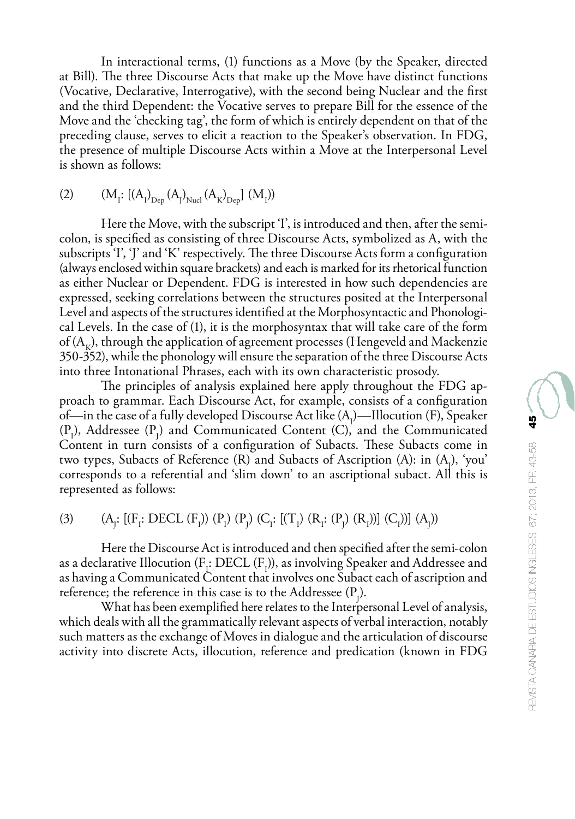In interactional terms, (1) functions as a Move (by the Speaker, directed at Bill). The three Discourse Acts that make up the Move have distinct functions (Vocative, Declarative, Interrogative), with the second being Nuclear and the first and the third Dependent: the Vocative serves to prepare Bill for the essence of the Move and the 'checking tag', the form of which is entirely dependent on that of the preceding clause, serves to elicit a reaction to the Speaker's observation. In FDG, the presence of multiple Discourse Acts within a Move at the Interpersonal Level is shown as follows:

(2) 
$$
(M_i: [(A_i)_{Dep} (A_j)_{Nuc} (A_K)_{Dep}] (M_i))
$$

Here the Move, with the subscript 'I', is introduced and then, after the semicolon, is specified as consisting of three Discourse Acts, symbolized as A, with the subscripts 'I', 'J' and 'K' respectively. The three Discourse Acts form a configuration (always enclosed within square brackets) and each is marked for its rhetorical function as either Nuclear or Dependent. FDG is interested in how such dependencies are expressed, seeking correlations between the structures posited at the Interpersonal Level and aspects of the structures identified at the Morphosyntactic and Phonological Levels. In the case of (1), it is the morphosyntax that will take care of the form of  $(A_{\nu})$ , through the application of agreement processes (Hengeveld and Mackenzie 350-352), while the phonology will ensure the separation of the three Discourse Acts into three Intonational Phrases, each with its own characteristic prosody.

The principles of analysis explained here apply throughout the FDG approach to grammar. Each Discourse Act, for example, consists of a configuration of—in the case of a fully developed Discourse Act like  $(A_j)$ —Illocution (F), Speaker  $(P_1)$ , Addressee  $(P_1)$  and Communicated Content (C), and the Communicated Content in turn consists of a configuration of Subacts. These Subacts come in two types, Subacts of Reference  $(R)$  and Subacts of Ascription  $(A)$ : in  $(A<sub>1</sub>)$ , 'you' corresponds to a referential and 'slim down' to an ascriptional subact. All this is represented as follows:

(3)  $(A_j: [(F_1: DECL (F_1)) (P_1) (P_1) (C_1: [(T_1) (R_1: (P_1) (R_1))] (C_1))] (A_j))$ 

Here the Discourse Act is introduced and then specified after the semi-colon as a declarative Illocution ( $F_1$ : DECL ( $F_1$ )), as involving Speaker and Addressee and as having a Communicated Content that involves one Subact each of ascription and reference; the reference in this case is to the Addressee  $(P_j)$ .

What has been exemplified here relates to the Interpersonal Level of analysis, which deals with all the grammatically relevant aspects of verbal interaction, notably such matters as the exchange of Moves in dialogue and the articulation of discourse activity into discrete Acts, illocution, reference and predication (known in FDG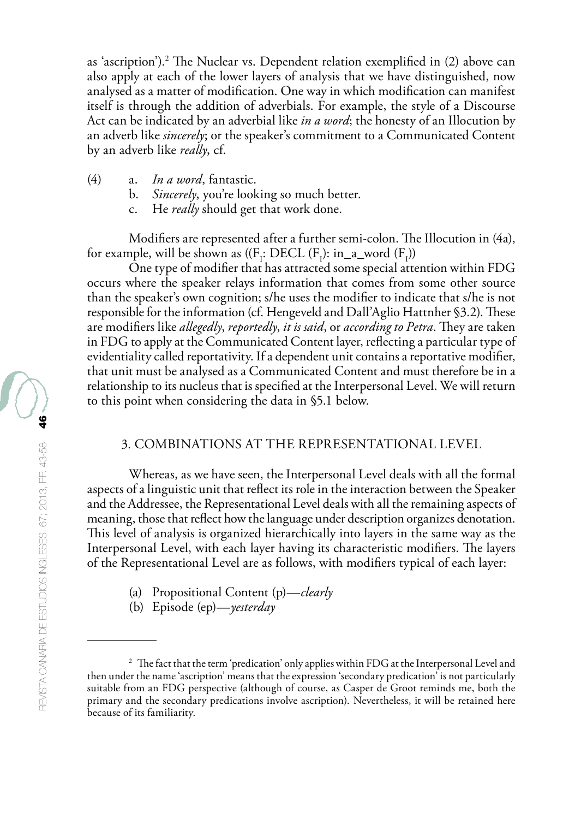as 'ascription').<sup>2</sup> The Nuclear vs. Dependent relation exemplified in (2) above can also apply at each of the lower layers of analysis that we have distinguished, now analysed as a matter of modification. One way in which modification can manifest itself is through the addition of adverbials. For example, the style of a Discourse Act can be indicated by an adverbial like *in a word*; the honesty of an Illocution by an adverb like *sincerely*; or the speaker's commitment to a Communicated Content by an adverb like *really*, cf.

- (4) a. *In a word*, fantastic.
	- Sincerely, you're looking so much better.
	- c. He *really* should get that work done.

Modifiers are represented after a further semi-colon. The Illocution in (4a), for example, will be shown as  $((F_1: DECL (F_1): in_a-word (F_1))$ 

One type of modifier that has attracted some special attention within FDG occurs where the speaker relays information that comes from some other source than the speaker's own cognition; s/he uses the modifier to indicate that s/he is not responsible for the information (cf. Hengeveld and Dall'Aglio Hattnher §3.2). These are modifiers like *allegedly*, *reportedly*, *it is said*, or *according to Petra*. They are taken in FDG to apply at the Communicated Content layer, reflecting a particular type of evidentiality called reportativity. If a dependent unit contains a reportative modifier, that unit must be analysed as a Communicated Content and must therefore be in a relationship to its nucleus that is specified at the Interpersonal Level. We will return to this point when considering the data in §5.1 below.

#### 3. COMBINATIONS AT THE REPRESENTATIONAL LEVEL

Whereas, as we have seen, the Interpersonal Level deals with all the formal aspects of a linguistic unit that reflect its role in the interaction between the Speaker and the Addressee, the Representational Level deals with all the remaining aspects of meaning, those that reflect how the language under description organizes denotation. This level of analysis is organized hierarchically into layers in the same way as the Interpersonal Level, with each layer having its characteristic modifiers. The layers of the Representational Level are as follows, with modifiers typical of each layer:

- (a) Propositional Content (p)—*clearly*
- (b) Episode (ep)—*yesterday*

<sup>&</sup>lt;sup>2</sup> The fact that the term 'predication' only applies within FDG at the Interpersonal Level and then under the name 'ascription' means that the expression 'secondary predication' is not particularly suitable from an FDG perspective (although of course, as Casper de Groot reminds me, both the primary and the secondary predications involve ascription). Nevertheless, it will be retained here because of its familiarity.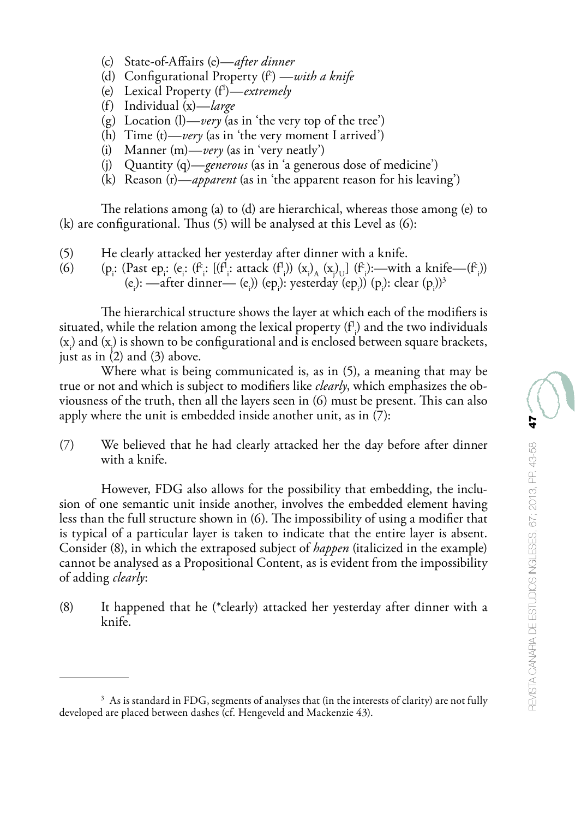- (c) State-of-Affairs (e)—*after dinner*
- (d) Configurational Property (f<sup>c</sup>) —*with a knife*
- (e) Lexical Property (fl )—*extremely*
- (f) Individual (x)—*large*
- (g) Location  $(l)$ —*very* (as in 'the very top of the tree')
- (h) Time (t)—*very* (as in 'the very moment I arrived')
- (i) Manner (m)—*very* (as in 'very neatly')
- (j) Quantity (q)—*generous* (as in 'a generous dose of medicine')
- (k) Reason (r)—*apparent* (as in 'the apparent reason for his leaving')

The relations among (a) to (d) are hierarchical, whereas those among (e) to (k) are configurational. Thus (5) will be analysed at this Level as (6):

- (5) He clearly attacked her yesterday after dinner with a knife.<br>
(6) (p: (Past ep: (e: (f: [(f!: attack (f!)) (x), (x), ] (f: ):—with
- (6) (p<sub>i</sub>: (Past ep<sub>i</sub>: (e<sub>i</sub>: (f<sup>c</sup><sub>i</sub>: [(f<sup>1</sup><sub>i</sub>: attack (f<sup>1</sup><sub>i</sub>)) (x<sub>i</sub>)<sub>A</sub> (x<sub>j</sub>)<sub>U</sub>] (f<sub>i</sub>):—with a knife—(f<sup>2</sup><sub>i</sub>)) (e<sub>j</sub>):  $\leftarrow$  first dinner— (e<sub>j</sub>)) (ep<sub>i</sub>): yesterday (ep<sub>i</sub>)) (p<sub>i</sub>): clear (p<sub>i</sub>))<sup>3</sup><br>(e<sub>j</sub>):  $\leftarrow$  after dinner— (e<sub>j</sub>)) (ep<sub>i</sub>): yesterday (ep<sub>i</sub>)) (p<sub>i</sub>): clear (p<sub>i</sub>))<sup>3</sup>

The hierarchical structure shows the layer at which each of the modifiers is situated, while the relation among the lexical property (f $\cdot$ ) and the two individuals  $(x_i)$  and  $(x_j)$  is shown to be configurational and is enclosed between square brackets, just as in  $(2)$  and  $(3)$  above.

Where what is being communicated is, as in (5), a meaning that may be true or not and which is subject to modifiers like *clearly*, which emphasizes the obviousness of the truth, then all the layers seen in (6) must be present. This can also apply where the unit is embedded inside another unit, as in (7):

(7) We believed that he had clearly attacked her the day before after dinner with a knife.

However, FDG also allows for the possibility that embedding, the inclusion of one semantic unit inside another, involves the embedded element having less than the full structure shown in (6). The impossibility of using a modifier that is typical of a particular layer is taken to indicate that the entire layer is absent. Consider (8), in which the extraposed subject of *happen* (italicized in the example) cannot be analysed as a Propositional Content, as is evident from the impossibility of adding *clearly*:

(8) It happened that he (\*clearly) attacked her yesterday after dinner with a knife.

<sup>&</sup>lt;sup>3</sup> As is standard in FDG, segments of analyses that (in the interests of clarity) are not fully developed are placed between dashes (cf. Hengeveld and Mackenzie 43).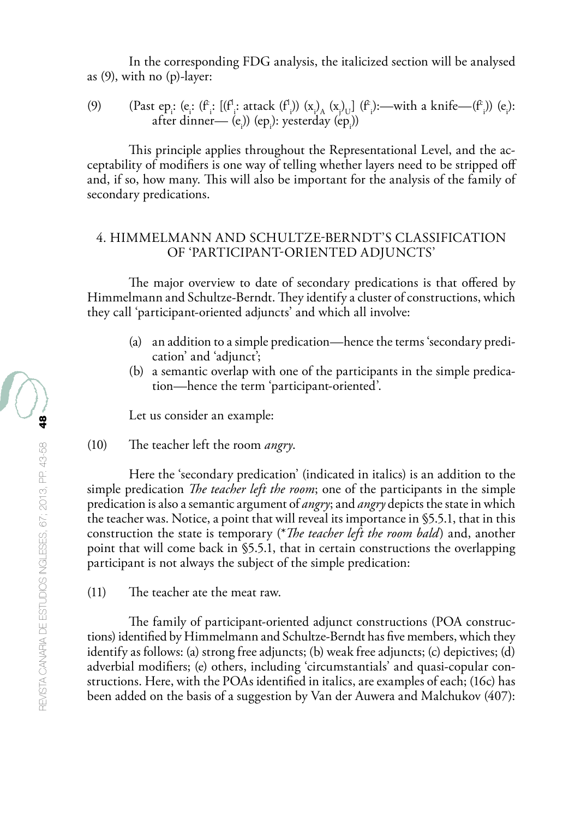In the corresponding FDG analysis, the italicized section will be analysed as (9), with no (p)-layer:

(9) (Past epi : (ei : (fc i : [(fl i : attack (fl i )) (xi ) A (xj ) U] (fc i ):—with a knife—(fc i )) (ei ): after dinner— (ei )) (epi ): yesterday (epi ))

This principle applies throughout the Representational Level, and the acceptability of modifiers is one way of telling whether layers need to be stripped off and, if so, how many. This will also be important for the analysis of the family of secondary predications.

### 4. HIMMELMANN AND SCHULTZE-BERNDT'S CLASSIFICATION OF 'PARTICIPANT-ORIENTED ADJUNCTS'

The major overview to date of secondary predications is that offered by Himmelmann and Schultze-Berndt. They identify a cluster of constructions, which they call 'participant-oriented adjuncts' and which all involve:

- (a) an addition to a simple predication—hence the terms 'secondary predication' and 'adjunct';
- (b) a semantic overlap with one of the participants in the simple predication—hence the term 'participant-oriented'.

Let us consider an example:

(10) The teacher left the room *angry*.

Here the 'secondary predication' (indicated in italics) is an addition to the simple predication *The teacher left the room*; one of the participants in the simple predication is also a semantic argument of *angry*; and *angry* depicts the state in which the teacher was. Notice, a point that will reveal its importance in §5.5.1, that in this construction the state is temporary (\**The teacher left the room bald*) and, another point that will come back in §5.5.1, that in certain constructions the overlapping participant is not always the subject of the simple predication:

(11) The teacher ate the meat raw.

The family of participant-oriented adjunct constructions (POA constructions) identified by Himmelmann and Schultze-Berndt has five members, which they identify as follows: (a) strong free adjuncts; (b) weak free adjuncts; (c) depictives; (d) adverbial modifiers; (e) others, including 'circumstantials' and quasi-copular constructions. Here, with the POAs identified in italics, are examples of each; (16c) has been added on the basis of a suggestion by Van der Auwera and Malchukov (407):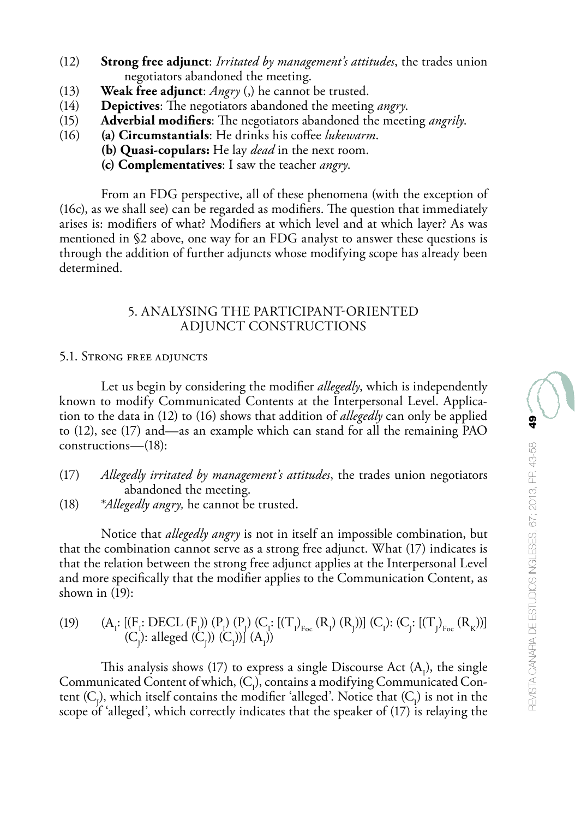- (12) **Strong free adjunct**: *Irritated by management's attitudes*, the trades union negotiators abandoned the meeting.
- (13) **Weak free adjunct**: *Angry* (,) he cannot be trusted.<br>(14) **Depictives**: The negotiators abandoned the meeting
- (14) **Depictives**: The negotiators abandoned the meeting *angry*.
- (15) **Adverbial modifiers**: The negotiators abandoned the meeting *angrily*.
	- (16) **(a) Circumstantials**: He drinks his coffee *lukewarm*.
		- **(b) Quasi-copulars:** He lay *dead* in the next room.
		- **(c) Complementatives**: I saw the teacher *angry*.

From an FDG perspective, all of these phenomena (with the exception of (16c), as we shall see) can be regarded as modifiers. The question that immediately arises is: modifiers of what? Modifiers at which level and at which layer? As was mentioned in §2 above, one way for an FDG analyst to answer these questions is through the addition of further adjuncts whose modifying scope has already been determined.

## 5. ANALYSING THE PARTICIPANT-ORIENTED ADJUNCT CONSTRUCTIONS

## 5.1. Strong free adjuncts

Let us begin by considering the modifier *allegedly*, which is independently known to modify Communicated Contents at the Interpersonal Level. Application to the data in (12) to (16) shows that addition of *allegedly* can only be applied to (12), see (17) and—as an example which can stand for all the remaining PAO constructions—(18):

- (17) *Allegedly irritated by management's attitudes*, the trades union negotiators abandoned the meeting.
- (18) \**Allegedly angry,* he cannot be trusted.

Notice that *allegedly angry* is not in itself an impossible combination, but that the combination cannot serve as a strong free adjunct. What (17) indicates is that the relation between the strong free adjunct applies at the Interpersonal Level and more specifically that the modifier applies to the Communication Content, as shown in (19):

$$
(19) \qquad (A_{i}: \left[\left(F_{i}:DECL\left(F_{i}\right)\right)\left(P_{i}\right)\left(P_{j}\right)\left(C_{i}: \left[\left(T_{1}\right)_{Foc}\left(R_{i}\right)\left(R_{j}\right)\right]\right] \left(C_{i}\right): \left(C_{j}: \left[\left(T_{J}\right)_{Foc}\left(R_{K}\right)\right]\right] \\ \qquad (C_{j}): \text{alleged }(C_{j})) \left(C_{i}\right) \text{]} \ (A_{i})
$$

This analysis shows (17) to express a single Discourse Act  $(A_1)$ , the single Communicated Content of which,  $(C<sub>1</sub>)$ , contains a modifying Communicated Content  $(C_j)$ , which itself contains the modifier 'alleged'. Notice that  $(C_j)$  is not in the scope of 'alleged', which correctly indicates that the speaker of (17) is relaying the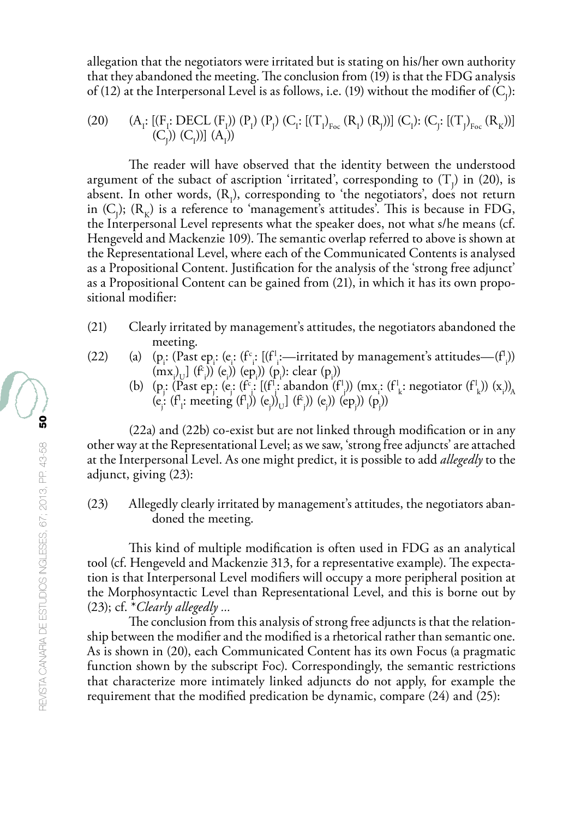allegation that the negotiators were irritated but is stating on his/her own authority that they abandoned the meeting. The conclusion from (19) is that the FDG analysis of (12) at the Interpersonal Level is as follows, i.e. (19) without the modifier of (C<sub>j</sub>):

$$
(20) \qquad (A_{i}: \left[(F_{i}: DEC L (F_{i})\right)(P_{j}) (P_{j}) (C_{i}: \left[(T_{l})_{Foc} (R_{l}) (R_{j})\right)] (C_{l}): (C_{j}: \left[(T_{j})_{Foc} (R_{K})\right)] \\ (C_{j})) (C_{l}))](A_{l})
$$

The reader will have observed that the identity between the understood argument of the subact of ascription 'irritated', corresponding to  $(T<sub>j</sub>)$  in (20), is absent. In other words,  $(R_1)$ , corresponding to 'the negotiators', does not return in  $(C_j)$ ;  $(R_k)$  is a reference to 'management's attitudes'. This is because in FDG, the Interpersonal Level represents what the speaker does, not what s/he means (cf. Hengeveld and Mackenzie 109). The semantic overlap referred to above is shown at the Representational Level, where each of the Communicated Contents is analysed as a Propositional Content. Justification for the analysis of the 'strong free adjunct' as a Propositional Content can be gained from (21), in which it has its own propositional modifier:

- (21) Clearly irritated by management's attitudes, the negotiators abandoned the meeting.
- (22) (a)  $(p_i: (Fast ep: (e: (f^c: [(f^l:--irritical by management's attitudes—(f^l]))$  $(\text{mx}_i)$   $((f_i) (e_i)) (ep_i) (p_i)$ : clear  $(p_i)$ 
	- (b)  $(p_j: (P_{\text{est}}, (e_j: (f_i^c), (f_i^c), \text{abandon}(f_j^c)))$  (mx<sub>i</sub>: (f<sup>1</sup><sub>k</sub>: negotiator (f<sup>1</sup><sub>k</sub>)) (x<sub>i</sub>))<sub>A</sub> (e<sub>j</sub>: (f<sup>1</sup><sub>1</sub>: meeting (f<sup>1</sup><sub>1</sub>)) (e<sub>j</sub>))<sub>U</sub>] (f<sup>2</sup><sub>j</sub>)) (e<sub>j</sub>)) (e<sub>p</sub>)) (p<sub>j</sub>))

(22a) and (22b) co-exist but are not linked through modification or in any other way at the Representational Level; as we saw, 'strong free adjuncts' are attached at the Interpersonal Level. As one might predict, it is possible to add *allegedly* to the adjunct, giving (23):

## (23) Allegedly clearly irritated by management's attitudes, the negotiators abandoned the meeting.

This kind of multiple modification is often used in FDG as an analytical tool (cf. Hengeveld and Mackenzie 313, for a representative example). The expectation is that Interpersonal Level modifiers will occupy a more peripheral position at the Morphosyntactic Level than Representational Level, and this is borne out by (23); cf. \**Clearly allegedly ...*

The conclusion from this analysis of strong free adjuncts is that the relationship between the modifier and the modified is a rhetorical rather than semantic one. As is shown in (20), each Communicated Content has its own Focus (a pragmatic function shown by the subscript Foc). Correspondingly, the semantic restrictions that characterize more intimately linked adjuncts do not apply, for example the requirement that the modified predication be dynamic, compare (24) and (25):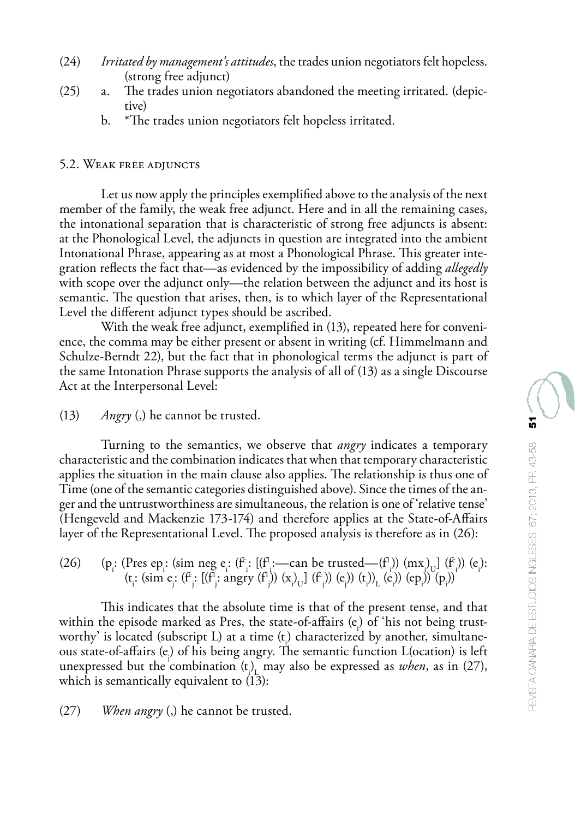- (24) *Irritated by management's attitudes*, the trades union negotiators felt hopeless. (strong free adjunct)
- (25) a. The trades union negotiators abandoned the meeting irritated. (depictive)
	- b. \*The trades union negotiators felt hopeless irritated.

## 5.2. Weak free adjuncts

Let us now apply the principles exemplified above to the analysis of the next member of the family, the weak free adjunct. Here and in all the remaining cases, the intonational separation that is characteristic of strong free adjuncts is absent: at the Phonological Level, the adjuncts in question are integrated into the ambient Intonational Phrase, appearing as at most a Phonological Phrase. This greater integration reflects the fact that—as evidenced by the impossibility of adding *allegedly* with scope over the adjunct only—the relation between the adjunct and its host is semantic. The question that arises, then, is to which layer of the Representational Level the different adjunct types should be ascribed.

With the weak free adjunct, exemplified in (13), repeated here for convenience, the comma may be either present or absent in writing (cf. Himmelmann and Schulze-Berndt 22), but the fact that in phonological terms the adjunct is part of the same Intonation Phrase supports the analysis of all of (13) as a single Discourse Act at the Interpersonal Level:

(13) *Angry* (,) he cannot be trusted.

Turning to the semantics, we observe that *angry* indicates a temporary characteristic and the combination indicates that when that temporary characteristic applies the situation in the main clause also applies. The relationship is thus one of Time (one of the semantic categories distinguished above). Since the times of the anger and the untrustworthiness are simultaneous, the relation is one of 'relative tense' (Hengeveld and Mackenzie 173-174) and therefore applies at the State-of-Affairs layer of the Representational Level. The proposed analysis is therefore as in (26):

(26) (pi : (Pres epi : (sim neg ei : (fc i : [(fl i :—can be trusted—(fl i )) (mxi ) U] (fc i )) (ei ): (ti : (sim ej : (fc j : [(fl j : angry (fl j )) (xi ) U] (fc j )) (ej )) (ti ))L (ei )) (epi )) (pi ))

This indicates that the absolute time is that of the present tense, and that within the episode marked as Pres, the state-of-affairs  $(e_i)$  of 'his not being trustworthy' is located (subscript  $L$ ) at a time  $(t_1)$  characterized by another, simultaneous state-of-affairs (ej ) of his being angry. The semantic function L(ocation) is left unexpressed but the combination  $(t)$ <sub>L</sub> may also be expressed as *when*, as in (27), which is semantically equivalent to  $(13)$ :

(27) *When angry* (,) he cannot be trusted.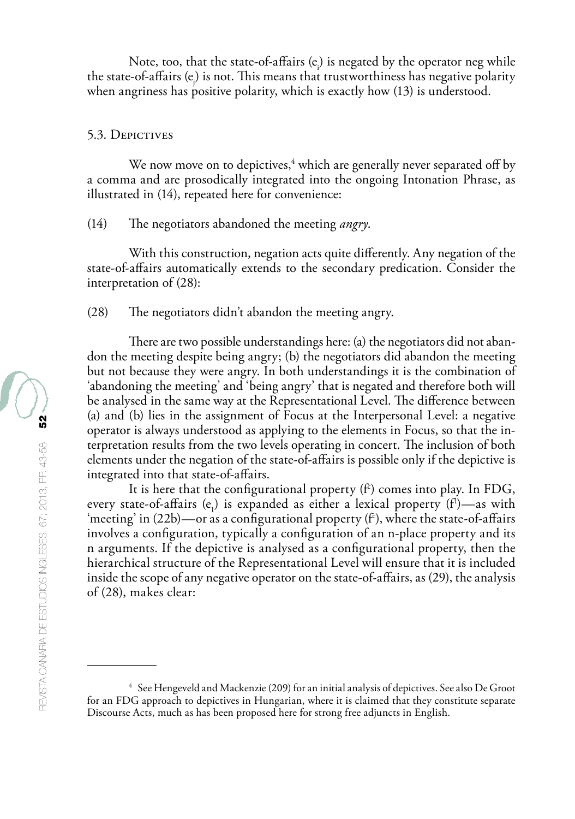Note, too, that the state-of-affairs  $(e_i)$  is negated by the operator neg while the state-of-affairs (ej ) is not. This means that trustworthiness has negative polarity when angriness has positive polarity, which is exactly how  $(13)$  is understood.

#### 5.3. DEPICTIVES

We now move on to depictives, $4$  which are generally never separated off by a comma and are prosodically integrated into the ongoing Intonation Phrase, as illustrated in (14), repeated here for convenience:

(14) The negotiators abandoned the meeting *angry*.

With this construction, negation acts quite differently. Any negation of the state-of-affairs automatically extends to the secondary predication. Consider the interpretation of (28):

(28) The negotiators didn't abandon the meeting angry.

There are two possible understandings here: (a) the negotiators did not abandon the meeting despite being angry; (b) the negotiators did abandon the meeting but not because they were angry. In both understandings it is the combination of 'abandoning the meeting' and 'being angry' that is negated and therefore both will be analysed in the same way at the Representational Level. The difference between (a) and (b) lies in the assignment of Focus at the Interpersonal Level: a negative operator is always understood as applying to the elements in Focus, so that the interpretation results from the two levels operating in concert. The inclusion of both elements under the negation of the state-of-affairs is possible only if the depictive is integrated into that state-of-affairs.

It is here that the configurational property  $(f^c)$  comes into play. In FDG, every state-of-affairs  $(e_1)$  is expanded as either a lexical property  $(f)$ —as with 'meeting' in  $(22b)$ —or as a configurational property ( $f<sup>c</sup>$ ), where the state-of-affairs involves a configuration, typically a configuration of an n-place property and its n arguments. If the depictive is analysed as a configurational property, then the hierarchical structure of the Representational Level will ensure that it is included inside the scope of any negative operator on the state-of-affairs, as (29), the analysis of (28), makes clear:

<sup>&</sup>lt;sup>4</sup> See Hengeveld and Mackenzie (209) for an initial analysis of depictives. See also De Groot for an FDG approach to depictives in Hungarian, where it is claimed that they constitute separate Discourse Acts, much as has been proposed here for strong free adjuncts in English.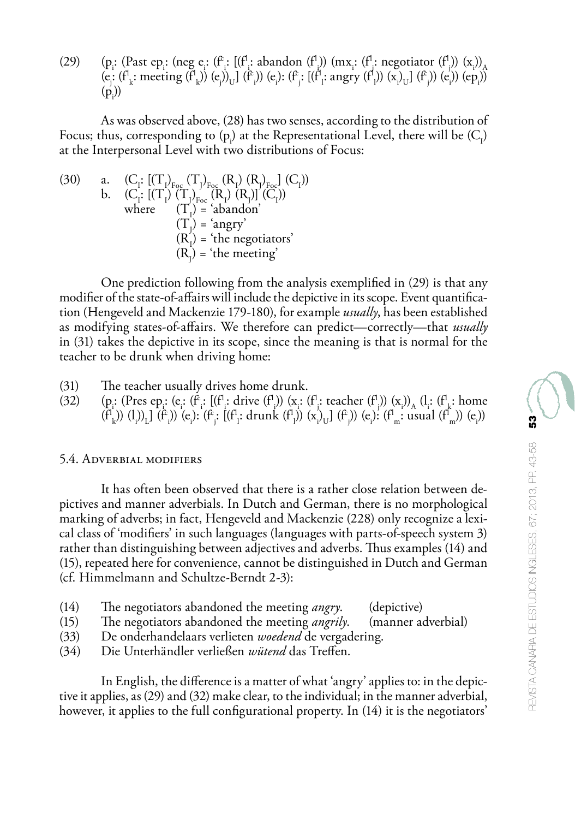(29) (p<sub>i</sub>: (Past ep<sub>i</sub>: (neg e.: (f<sup>c</sup>;: [(f<sup>1</sup>; abandon (f<sup>1</sup>)) (mx<sub>i</sub>: (f<sup>1</sup>; negotiator (f<sup>1</sup>)) (x<sub>i</sub>)<sub>A</sub>)  $(e: (f<sub>k</sub>: meeting (f<sub>k</sub>)) (e<sub>j</sub>))<sub>U</sub>] (f<sub>i</sub>) (e<sub>i</sub>): (f<sub>j</sub>: [(f<sub>j</sub>: angry (f<sub>l</sub>)) (x<sub>i</sub>)<sub>U</sub>] (f<sub>j</sub>)) (e<sub>i</sub>)) (ep<sub>i</sub>)$  $(p_i)$ 

As was observed above, (28) has two senses, according to the distribution of Focus; thus, corresponding to  $(p_i)$  at the Representational Level, there will be  $(C_i)$ at the Interpersonal Level with two distributions of Focus:

(30) a. 
$$
(C_1: [(T_1)_{F_{oc}} (T_1)_{F_{oc}} (R_1) (R_1)_{F_{oc}}] (C_1))
$$
  
\nb.  $(C_1: [(T_1) (T_1)_{F_{oc}} (R_1) (R_1)] (C_1))$   
\nwhere  $(T_1) = \text{'abandon'}$   
\n $(T_1) = \text{'angry'}$   
\n $(R_1) = \text{'the negotiators'}$   
\n $(R_1) = \text{'the meeting'}$ 

One prediction following from the analysis exemplified in (29) is that any modifier of the state-of-affairs will include the depictive in its scope. Event quantification (Hengeveld and Mackenzie 179-180), for example *usually*, has been established as modifying states-of-affairs. We therefore can predict—correctly—that *usually* in (31) takes the depictive in its scope, since the meaning is that is normal for the teacher to be drunk when driving home:

- (31) The teacher usually drives home drunk.
- $(32)$ : (Pres ep.: (e.: (f<sup>i</sup>,: drive (f<sup>1</sup>)) (x<sub>i</sub>) (x<sub>i</sub>) (x<sub>i</sub>) (x<sub>i</sub>)) (x<sub>i</sub>) (x<sub>i</sub>)) (x<sub>i</sub>)) (x<sub>i</sub>)) (x<sub>i</sub>)) (x<sub>i</sub>)) (x<sub>i</sub>) (x<sub>i</sub>) (x<sub>i</sub>) (x<sub>i</sub>)) (x<sub>i</sub>) (x<sub>i</sub>) (x<sub>i</sub>) (x<sub>i</sub>) (x<sub>i</sub>) (x<sub>i</sub>) (x<sub>i</sub>) (x<sub>i</sub>) (x<sub>i</sub>)) (x<sub>i</sub>)) (x<sub>i</sub>  $(f<sup>i</sup><sub>k</sub>)$  (l<sub>i</sub>))<sub>L</sub>] (f<sup>c</sup><sub>i</sub>)) (e<sub>i</sub>): (f<sup>c</sup><sub>i</sub>: [(f<sup>r</sup><sub>i</sub>: drunk (f<sup>r</sup><sub>l</sub>)) (x<sub>i</sub>)<sub>U</sub>] (f<sup>c</sup><sub>j</sub>)) (e<sub>i</sub>): (f<sup>r</sup><sub>m</sub>: usual (f<sup>r</sup><sub>m</sub>)) (e<sub>i</sub>))

### 5.4. Adverbial modifiers

It has often been observed that there is a rather close relation between depictives and manner adverbials. In Dutch and German, there is no morphological marking of adverbs; in fact, Hengeveld and Mackenzie (228) only recognize a lexical class of 'modifiers' in such languages (languages with parts-of-speech system 3) rather than distinguishing between adjectives and adverbs. Thus examples (14) and (15), repeated here for convenience, cannot be distinguished in Dutch and German (cf. Himmelmann and Schultze-Berndt 2-3):

- (14) The negotiators abandoned the meeting *angry*. (depictive)
- (15) The negotiators abandoned the meeting *angrily*. (manner adverbial)
- (33) De onderhandelaars verlieten *woedend* de vergadering.
- (34) Die Unterhändler verließen *wütend* das Treffen.

In English, the difference is a matter of what 'angry' applies to: in the depictive it applies, as (29) and (32) make clear, to the individual; in the manner adverbial, however, it applies to the full configurational property. In  $(14)$  it is the negotiators'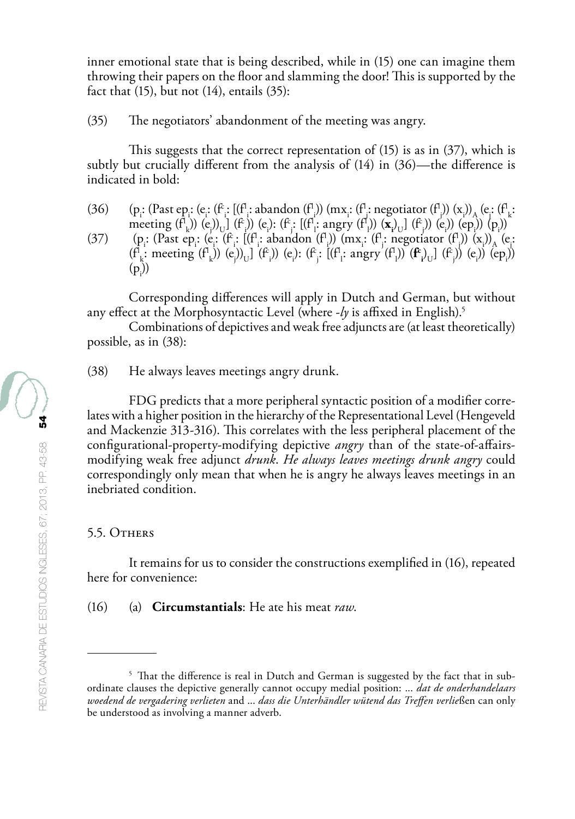inner emotional state that is being described, while in (15) one can imagine them throwing their papers on the floor and slamming the door! This is supported by the fact that  $(15)$ , but not  $(14)$ , entails  $(35)$ :

(35) The negotiators' abandonment of the meeting was angry.

This suggests that the correct representation of (15) is as in (37), which is subtly but crucially different from the analysis of (14) in (36)—the difference is indicated in bold:

 $(36)$ : (Past ep.; (e.; (f<sup>r</sup>.; l(f<sup>r</sup>]; abandon (f<sup>r</sup>])) (mx<sub>i</sub>; (f<sup>r</sup>]; negotiator (f<sup>r</sup>])) (x<sub>i</sub>))<sub>A</sub> (e.; (f<sup>r</sup><sub>k</sub>:) meeting  $(f'_{k})$  (e<sub>j</sub>) (e<sub>j</sub>) (e<sub>j</sub>) (e<sub>j</sub>) (e<sub>j</sub>) (e<sub>j</sub>) (e<sub>j</sub>) (e<sub>j</sub>) (e<sub>j</sub>) (e<sub>j</sub>) (e<sub>j</sub>) (e<sub>j</sub>) (e<sub>j</sub>) (e<sub>j</sub>) (e<sub>j</sub>) (e<sub>j</sub>) (e<sub>j</sub>) (e<sub>j</sub>) (e<sub>j</sub>) (e<sub>j</sub>) (e<sub>j</sub>) (e<sub>j</sub>) (e<sub>j</sub>) (e<sub>j</sub>) (e<sub>j</sub>) (e<sub>j</sub>) (e<sub>j</sub>) (e<sub>j</sub>) (e<sub>j</sub>) (e k i j l l j (37) (pi : (Past epi : (ei : (fc i : [(fl i : abandon (fl i )) (mxi : (fl j : negotiator (fl j )) (xi ))A (ej :  $(f_{\mathbf{k}}^{\text{I}}\text{; meeting }(f_{\mathbf{k}}^{\text{I}})) (e_j)_{\mathbf{U}}] (f_i^{\text{I}})$  (e<sub>i</sub>):  $(f_j^{\text{I}}\text{; largest (f_{\mathbf{l}}^{\text{I}}\text{; angry }(f_{\mathbf{l}}^{\text{I}})) (f_{\mathbf{l}}^{\text{I}})) (f_{\mathbf{l}}^{\text{I}})$  (e<sub>i</sub>)) (e<sub>i</sub>)) (e<sub>i</sub>))  $(p_i)$ 

Corresponding differences will apply in Dutch and German, but without any effect at the Morphosyntactic Level (where -*ly* is affixed in English).5

Combinations of depictives and weak free adjuncts are (at least theoretically) possible, as in (38):

(38) He always leaves meetings angry drunk.

FDG predicts that a more peripheral syntactic position of a modifier correlates with a higher position in the hierarchy of the Representational Level (Hengeveld and Mackenzie 313-316). This correlates with the less peripheral placement of the configurational-property-modifying depictive *angry* than of the state-of-affairsmodifying weak free adjunct *drunk*. *He always leaves meetings drunk angry* could correspondingly only mean that when he is angry he always leaves meetings in an inebriated condition.

### 5.5. Others

It remains for us to consider the constructions exemplified in (16), repeated here for convenience:

(16) (a) **Circumstantials**: He ate his meat *raw*.

<sup>&</sup>lt;sup>5</sup> That the difference is real in Dutch and German is suggested by the fact that in subordinate clauses the depictive generally cannot occupy medial position: ... *dat de onderhandelaars woedend de vergadering verlieten* and ... *dass die Unterhändler wütend das Treffen verlie*ßen can only be understood as involving a manner adverb.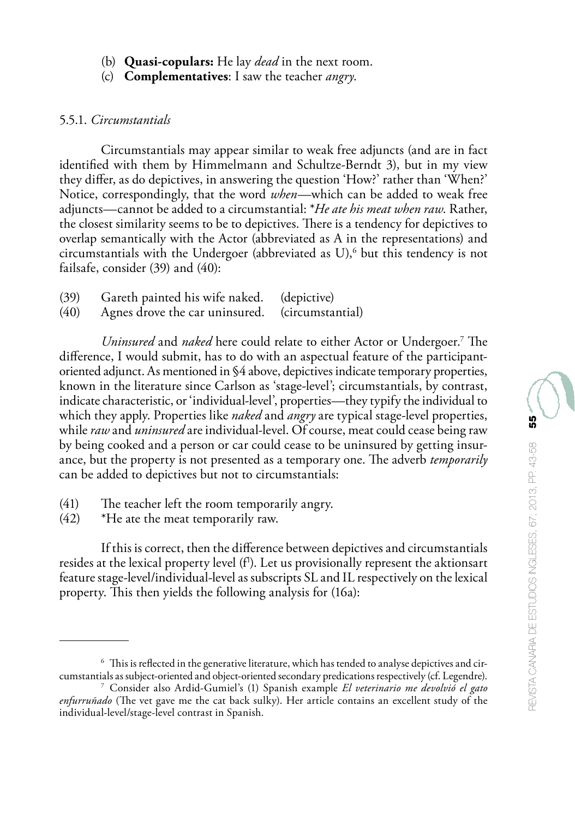- (b) **Quasi-copulars:** He lay *dead* in the next room.
- (c) **Complementatives**: I saw the teacher *angry*.

### 5.5.1. *Circumstantials*

Circumstantials may appear similar to weak free adjuncts (and are in fact identified with them by Himmelmann and Schultze-Berndt 3), but in my view they differ, as do depictives, in answering the question 'How?' rather than 'When?' Notice, correspondingly, that the word *when*—which can be added to weak free adjuncts—cannot be added to a circumstantial: \**He ate his meat when raw*. Rather, the closest similarity seems to be to depictives. There is a tendency for depictives to overlap semantically with the Actor (abbreviated as A in the representations) and circumstantials with the Undergoer (abbreviated as U), $\delta$  but this tendency is not failsafe, consider (39) and (40):

| (39) | Gareth painted his wife naked. | (depictive)      |
|------|--------------------------------|------------------|
| (40) | Agnes drove the car uninsured. | (circumstantial) |

*Uninsured* and *naked* here could relate to either Actor or Undergoer.7 The difference, I would submit, has to do with an aspectual feature of the participantoriented adjunct. As mentioned in §4 above, depictives indicate temporary properties, known in the literature since Carlson as 'stage-level'; circumstantials, by contrast, indicate characteristic, or 'individual-level', properties—they typify the individual to which they apply. Properties like *naked* and *angry* are typical stage-level properties, while *raw* and *uninsured* are individual-level. Of course, meat could cease being raw by being cooked and a person or car could cease to be uninsured by getting insurance, but the property is not presented as a temporary one. The adverb *temporarily* can be added to depictives but not to circumstantials:

- (41) The teacher left the room temporarily angry.
- (42) \*He ate the meat temporarily raw.

If this is correct, then the difference between depictives and circumstantials resides at the lexical property level (f<sup>1</sup>). Let us provisionally represent the aktionsart feature stage-level/individual-level as subscripts SL and IL respectively on the lexical property. This then yields the following analysis for (16a):

<sup>6</sup> This is reflected in the generative literature, which has tended to analyse depictives and circumstantials as subject-oriented and object-oriented secondary predications respectively (cf. Legendre).

<sup>7</sup> Consider also Ardid-Gumiel's (1) Spanish example *El veterinario me devolvió el gato enfurruñado* (The vet gave me the cat back sulky). Her article contains an excellent study of the individual-level/stage-level contrast in Spanish.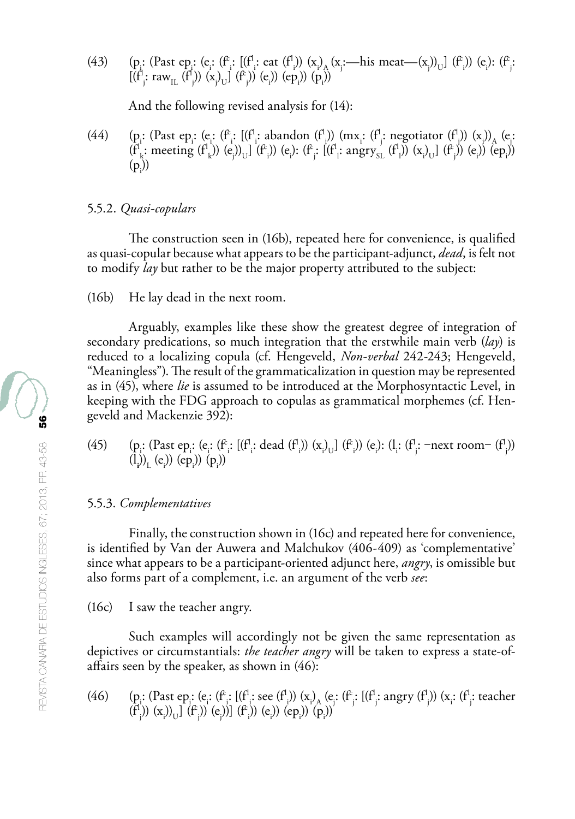(43) (p. (Past ep. (e. (f. [(f. eat (f.)) (x<sub>i</sub>) (x<sub>i</sub> —his meat—(x<sub>j</sub>)<sub>U</sub>] (f.) (e.): (f.;  $[(f^1_j: raw_{IL} (f^1_j)) (x_j)_U] (f^2_j)) (e_j)) (ep_j)) (p_j)$ 

And the following revised analysis for (14):

(44) (p. (Past ep. (e. (f. [(f. abandon (f.)) (mx. (f. negotiator (f.)) (x)) (e. (e.  $(f_{k}^{l}: \text{ meeting } (f_{k}^{l})) (e_{j})_{U}](f_{i}^{c})) (e_{i}): (f_{j}^{c}: [(f_{i}^{l}: \text{angry}_{SL}(f_{i}^{l})) (x_{i}^{l}{}_{U}](f_{j}^{c})) (e_{i})) (ep_{i})$  $(p_i)$ 

#### 5.5.2. *Quasi-copulars*

The construction seen in (16b), repeated here for convenience, is qualified as quasi-copular because what appears to be the participant-adjunct, *dead*, is felt not to modify *lay* but rather to be the major property attributed to the subject:

(16b) He lay dead in the next room.

Arguably, examples like these show the greatest degree of integration of secondary predications, so much integration that the erstwhile main verb (*lay*) is reduced to a localizing copula (cf. Hengeveld, *Non-verbal* 242-243; Hengeveld, "Meaningless"). The result of the grammaticalization in question may be represented as in (45), where *lie* is assumed to be introduced at the Morphosyntactic Level, in keeping with the FDG approach to copulas as grammatical morphemes (cf. Hengeveld and Mackenzie 392):

(45) (pi : (Past epi : (ei : (fc i : [(fl i : dead (fl i )) (xi ) U] (fc i )) (ei ): (li : (fl j : ‒next room‒ (fl j )) (l**i** ))L (ei )) (epi )) (pi ))

#### 5.5.3. *Complementatives*

Finally, the construction shown in (16c) and repeated here for convenience, is identified by Van der Auwera and Malchukov (406-409) as 'complementative' since what appears to be a participant-oriented adjunct here, *angry*, is omissible but also forms part of a complement, i.e. an argument of the verb *see*:

(16c) I saw the teacher angry.

Such examples will accordingly not be given the same representation as depictives or circumstantials: *the teacher angry* will be taken to express a state-ofaffairs seen by the speaker, as shown in (46):

(46) (p. (Past ep. (e. (f. [(f. see (f.)) (x<sub>i</sub>)<sub>A</sub> (e. (f. [(f. angry (f.)) (x<sub>i</sub> (f. teacher  $(f^{1}_{j})$ )  $(x_{i})$ <sub>U</sub>]  $(f^{2}_{j})$ )  $(e_{j})$ ]  $(f^{2}_{i})$ )  $(e_{i})$ )  $(e_{p_{i}})$ )  $(p_{i})$ )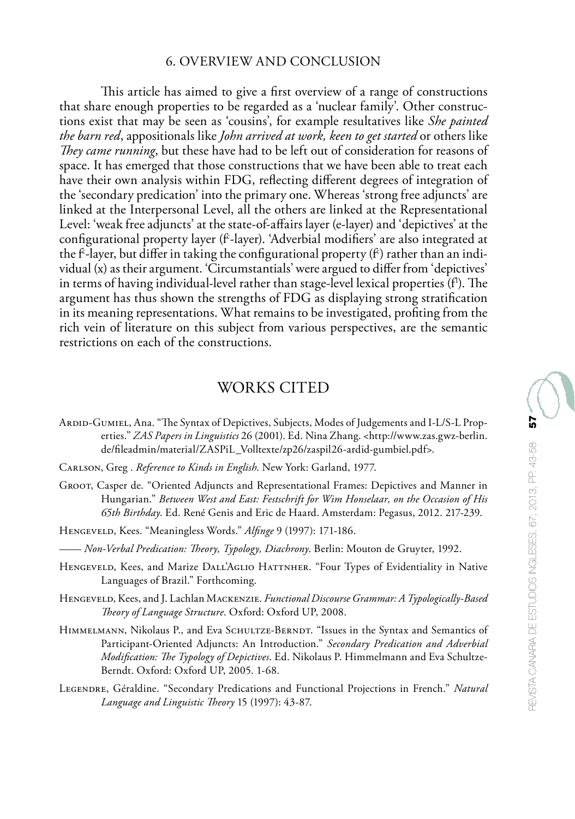### 6. OVERVIEW AND CONCLUSION

This article has aimed to give a first overview of a range of constructions that share enough properties to be regarded as a 'nuclear family'. Other constructions exist that may be seen as 'cousins', for example resultatives like *She painted the barn red*, appositionals like *John arrived at work, keen to get started* or others like *They came running*, but these have had to be left out of consideration for reasons of space. It has emerged that those constructions that we have been able to treat each have their own analysis within FDG, reflecting different degrees of integration of the 'secondary predication' into the primary one. Whereas 'strong free adjuncts' are linked at the Interpersonal Level, all the others are linked at the Representational Level: 'weak free adjuncts' at the state-of-affairs layer (e-layer) and 'depictives' at the configurational property layer (f-layer). 'Adverbial modifiers' are also integrated at the fʿ-layer, but differ in taking the configurational property (f`) rather than an individual (x) as their argument. 'Circumstantials' were argued to differ from 'depictives' in terms of having individual-level rather than stage-level lexical properties (fʰ). The  $\,$ argument has thus shown the strengths of FDG as displaying strong stratification in its meaning representations. What remains to be investigated, profiting from the rich vein of literature on this subject from various perspectives, are the semantic restrictions on each of the constructions.

# WORKS CITED

- Ardid-Gumiel, Ana. "The Syntax of Depictives, Subjects, Modes of Judgements and I-L/S-L Properties." *ZAS Papers in Linguistics* 26 (2001). Ed. Nina Zhang. <http://www.zas.gwz-berlin. de/fileadmin/material/ZASPiL\_Volltexte/zp26/zaspil26-ardid-gumbiel.pdf>.
- Carlson, Greg . *Reference to Kinds in English*. New York: Garland, 1977.
- Groot, Casper de. "Oriented Adjuncts and Representational Frames: Depictives and Manner in Hungarian." *Between West and East: Festschrift for Wim Honselaar, on the Occasion of His 65th Birthday*. Ed. René Genis and Eric de Haard. Amsterdam: Pegasus, 2012. 217-239.
- Hengeveld, Kees. "Meaningless Words." *Alfinge* 9 (1997): 171-186.
- —— *Non-Verbal Predication: Theory, Typology, Diachrony*. Berlin: Mouton de Gruyter, 1992.
- HENGEVELD, Kees, and Marize DALL'AGLIO HATTNHER. "Four Types of Evidentiality in Native Languages of Brazil." Forthcoming.
- Hengeveld, Kees, and J. Lachlan Mackenzie. *Functional Discourse Grammar: A Typologically-Based Theory of Language Structure*. Oxford: Oxford UP, 2008.
- HIMMELMANN, Nikolaus P., and Eva SCHULTZE-BERNDT. "Issues in the Syntax and Semantics of Participant-Oriented Adjuncts: An Introduction." *Secondary Predication and Adverbial Modification: The Typology of Depictives*. Ed. Nikolaus P. Himmelmann and Eva Schultze-Berndt. Oxford: Oxford UP, 2005. 1-68.
- Legendre, Géraldine. "Secondary Predications and Functional Projections in French." *Natural Language and Linguistic Theory* 15 (1997): 43-87.